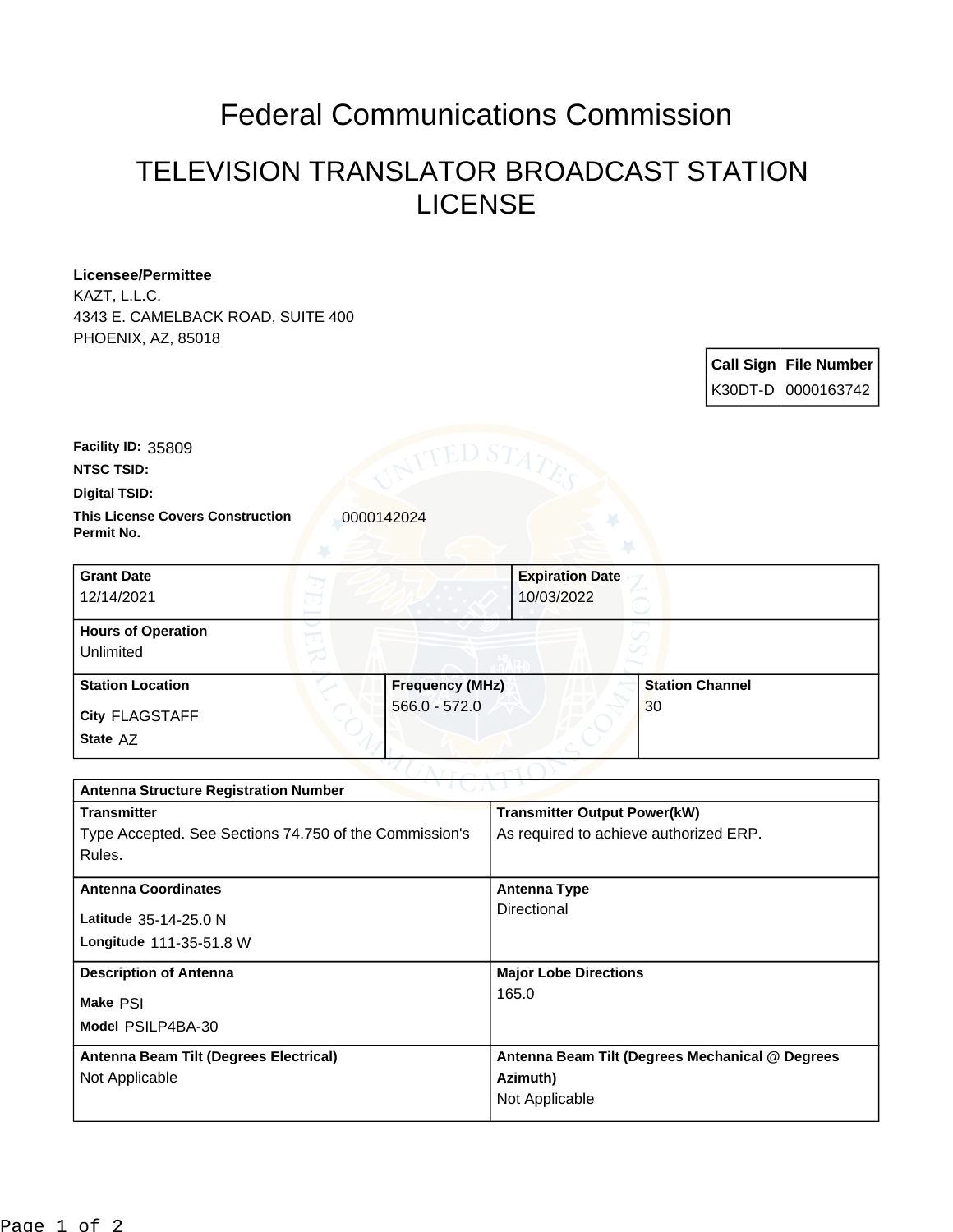## Federal Communications Commission

## TELEVISION TRANSLATOR BROADCAST STATION LICENSE

## **Licensee/Permittee**

KAZT, L.L.C. 4343 E. CAMELBACK ROAD, SUITE 400 PHOENIX, AZ, 85018

| <b>Call Sign File Number</b> |
|------------------------------|
| K30DT-D 0000163742           |

**Facility ID:** 35809

**NTSC TSID:**

**Digital TSID:**

**This License Covers Construction**  0000142024 **Permit No.**

| <b>Grant Date</b><br>12/14/2021        |                        | <b>Expiration Date</b><br>10/03/2022 |
|----------------------------------------|------------------------|--------------------------------------|
| <b>Hours of Operation</b><br>Unlimited |                        |                                      |
| <b>Station Location</b>                | <b>Frequency (MHz)</b> | <b>Station Channel</b>               |
| City FLAGSTAFF<br>State AZ             | $566.0 - 572.0$        | 30                                   |

| <b>Antenna Structure Registration Number</b>           |                                                 |  |
|--------------------------------------------------------|-------------------------------------------------|--|
| <b>Transmitter</b>                                     | <b>Transmitter Output Power(kW)</b>             |  |
| Type Accepted. See Sections 74.750 of the Commission's | As required to achieve authorized ERP.          |  |
| Rules.                                                 |                                                 |  |
| <b>Antenna Coordinates</b>                             | Antenna Type                                    |  |
|                                                        | Directional                                     |  |
| Latitude 35-14-25.0 N                                  |                                                 |  |
| Longitude 111-35-51.8 W                                |                                                 |  |
| <b>Description of Antenna</b>                          | <b>Major Lobe Directions</b>                    |  |
| Make PSI                                               | 165.0                                           |  |
| Model PSILP4BA-30                                      |                                                 |  |
| Antenna Beam Tilt (Degrees Electrical)                 | Antenna Beam Tilt (Degrees Mechanical @ Degrees |  |
| Not Applicable                                         | Azimuth)                                        |  |
|                                                        | Not Applicable                                  |  |
|                                                        |                                                 |  |